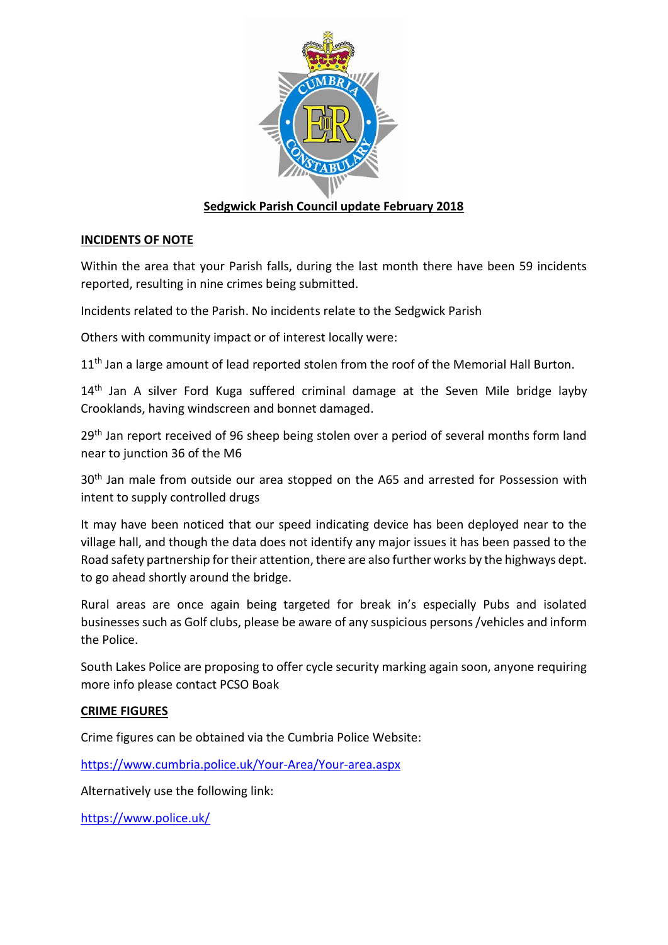

# **Sedgwick Parish Council update February 2018**

# **INCIDENTS OF NOTE**

Within the area that your Parish falls, during the last month there have been 59 incidents reported, resulting in nine crimes being submitted.

Incidents related to the Parish. No incidents relate to the Sedgwick Parish

Others with community impact or of interest locally were:

11<sup>th</sup> Jan a large amount of lead reported stolen from the roof of the Memorial Hall Burton.

14<sup>th</sup> Jan A silver Ford Kuga suffered criminal damage at the Seven Mile bridge layby Crooklands, having windscreen and bonnet damaged.

29<sup>th</sup> Jan report received of 96 sheep being stolen over a period of several months form land near to junction 36 of the M6

30<sup>th</sup> Jan male from outside our area stopped on the A65 and arrested for Possession with intent to supply controlled drugs

It may have been noticed that our speed indicating device has been deployed near to the village hall, and though the data does not identify any major issues it has been passed to the Road safety partnership for their attention, there are also further works by the highways dept. to go ahead shortly around the bridge.

Rural areas are once again being targeted for break in's especially Pubs and isolated businesses such as Golf clubs, please be aware of any suspicious persons /vehicles and inform the Police.

South Lakes Police are proposing to offer cycle security marking again soon, anyone requiring more info please contact PCSO Boak

# **CRIME FIGURES**

Crime figures can be obtained via the Cumbria Police Website:

<https://www.cumbria.police.uk/Your-Area/Your-area.aspx>

Alternatively use the following link:

<https://www.police.uk/>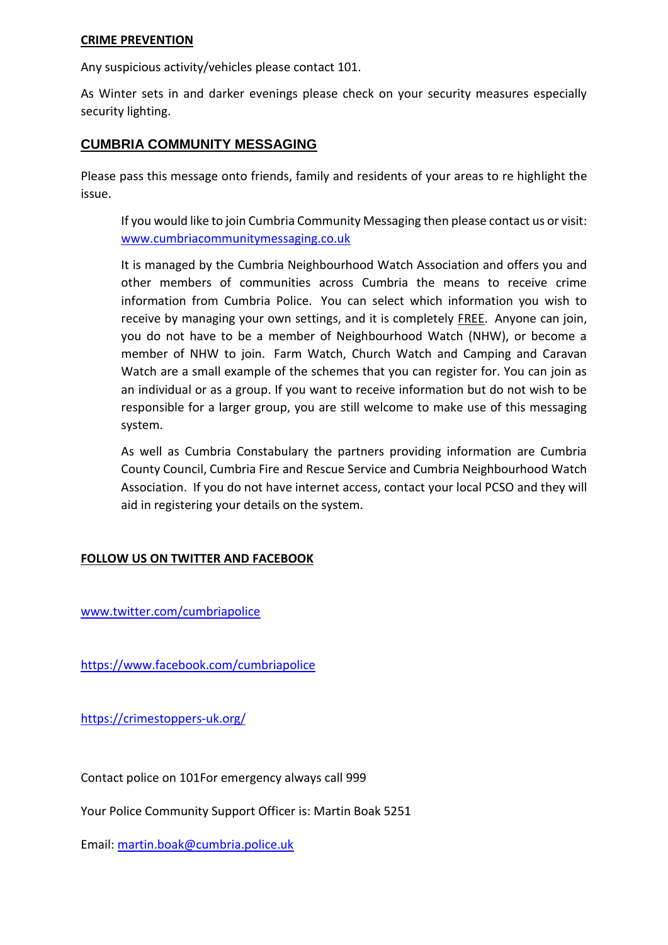#### **CRIME PREVENTION**

Any suspicious activity/vehicles please contact 101.

As Winter sets in and darker evenings please check on your security measures especially security lighting.

# **CUMBRIA COMMUNITY MESSAGING**

Please pass this message onto friends, family and residents of your areas to re highlight the issue.

If you would like to join Cumbria Community Messaging then please contact us or visit: [www.cumbriacommunitymessaging.co.uk](http://www.cumbriacommunitymessaging.co.uk/)

It is managed by the Cumbria Neighbourhood Watch Association and offers you and other members of communities across Cumbria the means to receive crime information from Cumbria Police. You can select which information you wish to receive by managing your own settings, and it is completely FREE. Anyone can join, you do not have to be a member of Neighbourhood Watch (NHW), or become a member of NHW to join. Farm Watch, Church Watch and Camping and Caravan Watch are a small example of the schemes that you can register for. You can join as an individual or as a group. If you want to receive information but do not wish to be responsible for a larger group, you are still welcome to make use of this messaging system.

As well as Cumbria Constabulary the partners providing information are Cumbria County Council, Cumbria Fire and Rescue Service and Cumbria Neighbourhood Watch Association. If you do not have internet access, contact your local PCSO and they will aid in registering your details on the system.

# **FOLLOW US ON TWITTER AND FACEBOOK**

[www.twitter.com/cumbriapolice](http://www.twitter.com/cumbriapolice)

<https://www.facebook.com/cumbriapolice>

<https://crimestoppers-uk.org/>

Contact police on 101For emergency always call 999

Your Police Community Support Officer is: Martin Boak 5251

Email: [martin.boak@cumbria.police.uk](mailto:martin.boak@cumbria.police.uk)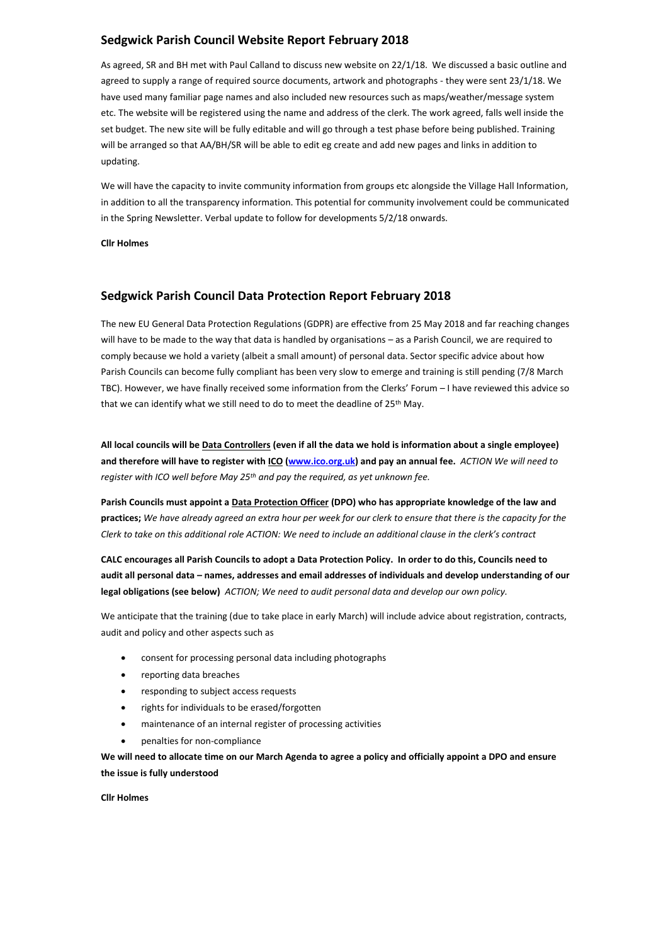#### **Sedgwick Parish Council Website Report February 2018**

As agreed, SR and BH met with Paul Calland to discuss new website on 22/1/18. We discussed a basic outline and agreed to supply a range of required source documents, artwork and photographs - they were sent 23/1/18. We have used many familiar page names and also included new resources such as maps/weather/message system etc. The website will be registered using the name and address of the clerk. The work agreed, falls well inside the set budget. The new site will be fully editable and will go through a test phase before being published. Training will be arranged so that AA/BH/SR will be able to edit eg create and add new pages and links in addition to updating.

We will have the capacity to invite community information from groups etc alongside the Village Hall Information, in addition to all the transparency information. This potential for community involvement could be communicated in the Spring Newsletter. Verbal update to follow for developments 5/2/18 onwards.

**Cllr Holmes** 

#### **Sedgwick Parish Council Data Protection Report February 2018**

The new EU General Data Protection Regulations (GDPR) are effective from 25 May 2018 and far reaching changes will have to be made to the way that data is handled by organisations – as a Parish Council, we are required to comply because we hold a variety (albeit a small amount) of personal data. Sector specific advice about how Parish Councils can become fully compliant has been very slow to emerge and training is still pending (7/8 March TBC). However, we have finally received some information from the Clerks' Forum – I have reviewed this advice so that we can identify what we still need to do to meet the deadline of 25<sup>th</sup> May.

**All local councils will be Data Controllers (even if all the data we hold is information about a single employee) and therefore will have to register with ICO [\(www.ico.org.uk\)](http://www.ico.org.uk/) and pay an annual fee.** *ACTION We will need to register with ICO well before May 25th and pay the required, as yet unknown fee.*

**Parish Councils must appoint a Data Protection Officer (DPO) who has appropriate knowledge of the law and practices;** *We have already agreed an extra hour per week for our clerk to ensure that there is the capacity for the Clerk to take on this additional role ACTION: We need to include an additional clause in the clerk's contract*

**CALC encourages all Parish Councils to adopt a Data Protection Policy. In order to do this, Councils need to audit all personal data – names, addresses and email addresses of individuals and develop understanding of our legal obligations (see below)** *ACTION; We need to audit personal data and develop our own policy.*

We anticipate that the training (due to take place in early March) will include advice about registration, contracts, audit and policy and other aspects such as

- consent for processing personal data including photographs
- reporting data breaches
- responding to subject access requests
- rights for individuals to be erased/forgotten
- maintenance of an internal register of processing activities
- penalties for non-compliance

**We will need to allocate time on our March Agenda to agree a policy and officially appoint a DPO and ensure the issue is fully understood**

**Cllr Holmes**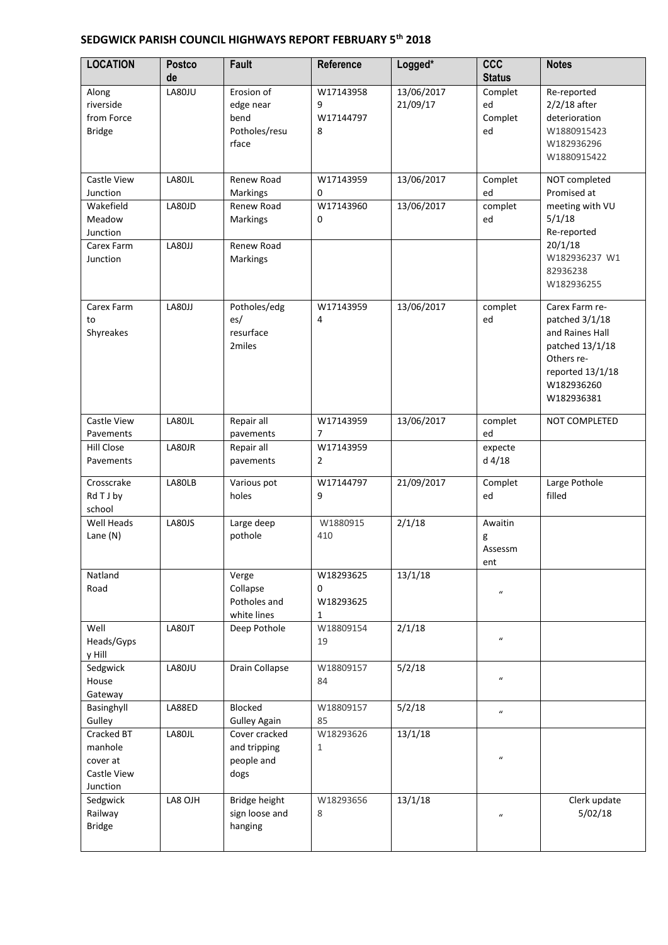# **SEDGWICK PARISH COUNCIL HIGHWAYS REPORT FEBRUARY 5th 2018**

| <b>LOCATION</b>                                                          | <b>Postco</b><br>de        | <b>Fault</b>                                                                 | Reference                        | Logged*                  | <b>CCC</b><br><b>Status</b>    | <b>Notes</b>                                                                                                                         |
|--------------------------------------------------------------------------|----------------------------|------------------------------------------------------------------------------|----------------------------------|--------------------------|--------------------------------|--------------------------------------------------------------------------------------------------------------------------------------|
| Along<br>riverside<br>from Force<br><b>Bridge</b>                        | LA80JU                     | Erosion of<br>edge near<br>bend<br>Potholes/resu<br>rface                    | W17143958<br>9<br>W17144797<br>8 | 13/06/2017<br>21/09/17   | Complet<br>ed<br>Complet<br>ed | Re-reported<br>$2/2/18$ after<br>deterioration<br>W1880915423<br>W182936296<br>W1880915422                                           |
| Castle View<br>Junction<br>Wakefield<br>Meadow<br>Junction<br>Carex Farm | LA80JL<br>LA80JD<br>LA80JJ | Renew Road<br><b>Markings</b><br>Renew Road<br><b>Markings</b><br>Renew Road | W17143959<br>0<br>W17143960<br>0 | 13/06/2017<br>13/06/2017 | Complet<br>ed<br>complet<br>ed | NOT completed<br>Promised at<br>meeting with VU<br>5/1/18<br>Re-reported<br>20/1/18                                                  |
| Junction                                                                 |                            | Markings                                                                     |                                  |                          |                                | W182936237 W1<br>82936238<br>W182936255                                                                                              |
| Carex Farm<br>to<br>Shyreakes                                            | LA80JJ                     | Potholes/edg<br>es/<br>resurface<br>2miles                                   | W17143959<br>4                   | 13/06/2017               | complet<br>ed                  | Carex Farm re-<br>patched 3/1/18<br>and Raines Hall<br>patched 13/1/18<br>Others re-<br>reported 13/1/18<br>W182936260<br>W182936381 |
| Castle View<br>Pavements                                                 | LA80JL                     | Repair all<br>pavements                                                      | W17143959<br>7                   | 13/06/2017               | complet<br>ed                  | NOT COMPLETED                                                                                                                        |
| Hill Close<br>Pavements                                                  | LA80JR                     | Repair all<br>pavements                                                      | W17143959<br>$\overline{2}$      |                          | expecte<br>$d$ 4/18            |                                                                                                                                      |
| Crosscrake<br>Rd T J by<br>school                                        | LA80LB                     | Various pot<br>holes                                                         | W17144797<br>9                   | 21/09/2017               | Complet<br>ed                  | Large Pothole<br>filled                                                                                                              |
| Well Heads<br>Lane (N)                                                   | LA80JS                     | Large deep<br>pothole                                                        | W1880915<br>410                  | 2/1/18                   | Awaitin<br>g<br>Assessm<br>ent |                                                                                                                                      |
| Natland<br>Road                                                          |                            | Verge<br>Collapse<br>Potholes and<br>white lines                             | W18293625<br>0<br>W18293625<br>1 | 13/1/18                  | $\boldsymbol{u}$               |                                                                                                                                      |
| Well<br>Heads/Gyps<br>y Hill                                             | LA80JT                     | Deep Pothole                                                                 | W18809154<br>19                  | 2/1/18                   | $\boldsymbol{u}$               |                                                                                                                                      |
| Sedgwick<br>House<br>Gateway                                             | LA80JU                     | Drain Collapse                                                               | W18809157<br>84                  | 5/2/18                   | $\boldsymbol{u}$               |                                                                                                                                      |
| Basinghyll<br>Gulley                                                     | LA88ED                     | Blocked<br><b>Gulley Again</b>                                               | W18809157<br>85                  | 5/2/18                   | $\boldsymbol{u}$               |                                                                                                                                      |
| Cracked BT<br>manhole<br>cover at<br>Castle View<br>Junction             | LA80JL                     | Cover cracked<br>and tripping<br>people and<br>dogs                          | W18293626<br>1                   | 13/1/18                  | $\boldsymbol{u}$               |                                                                                                                                      |
| Sedgwick<br>Railway<br><b>Bridge</b>                                     | LA8 OJH                    | Bridge height<br>sign loose and<br>hanging                                   | W18293656<br>8                   | 13/1/18                  | $\boldsymbol{u}$               | Clerk update<br>5/02/18                                                                                                              |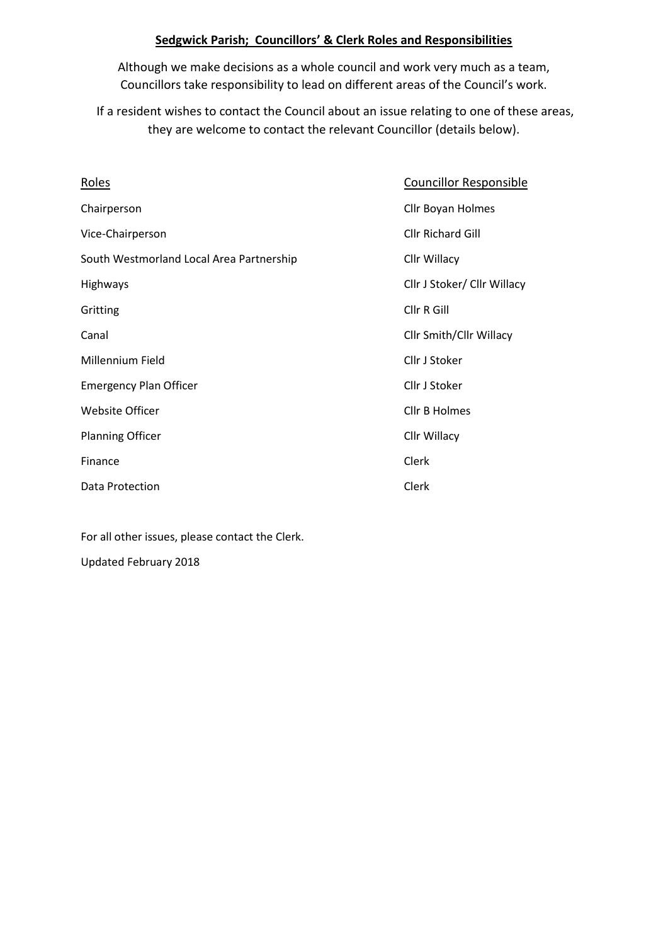# **Sedgwick Parish; Councillors' & Clerk Roles and Responsibilities**

Although we make decisions as a whole council and work very much as a team, Councillors take responsibility to lead on different areas of the Council's work.

If a resident wishes to contact the Council about an issue relating to one of these areas, they are welcome to contact the relevant Councillor (details below).

| <b>Roles</b>                             | <b>Councillor Responsible</b> |
|------------------------------------------|-------------------------------|
| Chairperson                              | Cllr Boyan Holmes             |
| Vice-Chairperson                         | <b>Cllr Richard Gill</b>      |
| South Westmorland Local Area Partnership | Cllr Willacy                  |
| Highways                                 | Cllr J Stoker/ Cllr Willacy   |
| Gritting                                 | Cllr R Gill                   |
| Canal                                    | Cllr Smith/Cllr Willacy       |
| Millennium Field                         | Cllr J Stoker                 |
| <b>Emergency Plan Officer</b>            | Cllr J Stoker                 |
| <b>Website Officer</b>                   | <b>Cllr B Holmes</b>          |
| <b>Planning Officer</b>                  | Cllr Willacy                  |
| Finance                                  | Clerk                         |
| Data Protection                          | Clerk                         |

For all other issues, please contact the Clerk.

Updated February 2018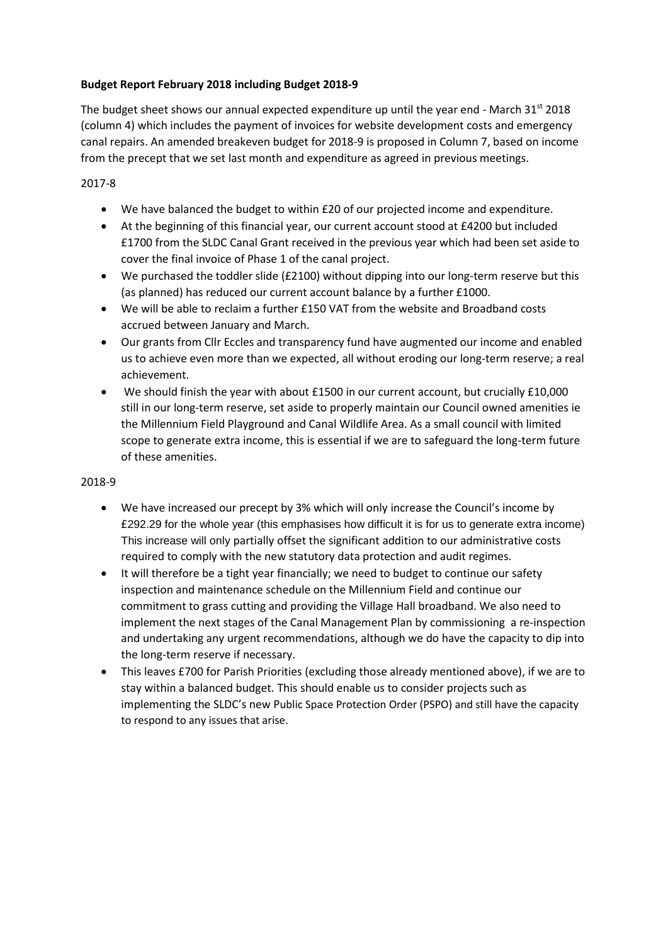# **Budget Report February 2018 including Budget 2018-9**

The budget sheet shows our annual expected expenditure up until the year end - March  $31^{st}$  2018 (column 4) which includes the payment of invoices for website development costs and emergency canal repairs. An amended breakeven budget for 2018-9 is proposed in Column 7, based on income from the precept that we set last month and expenditure as agreed in previous meetings.

# 2017-8

- We have balanced the budget to within £20 of our projected income and expenditure.
- At the beginning of this financial year, our current account stood at £4200 but included £1700 from the SLDC Canal Grant received in the previous year which had been set aside to cover the final invoice of Phase 1 of the canal project.
- We purchased the toddler slide (£2100) without dipping into our long-term reserve but this (as planned) has reduced our current account balance by a further £1000.
- We will be able to reclaim a further £150 VAT from the website and Broadband costs accrued between January and March.
- Our grants from Cllr Eccles and transparency fund have augmented our income and enabled us to achieve even more than we expected, all without eroding our long-term reserve; a real achievement.
- We should finish the year with about £1500 in our current account, but crucially £10,000 still in our long-term reserve, set aside to properly maintain our Council owned amenities ie the Millennium Field Playground and Canal Wildlife Area. As a small council with limited scope to generate extra income, this is essential if we are to safeguard the long-term future of these amenities.

# 2018-9

- We have increased our precept by 3% which will only increase the Council's income by £292.29 for the whole year (this emphasises how difficult it is for us to generate extra income) This increase will only partially offset the significant addition to our administrative costs required to comply with the new statutory data protection and audit regimes.
- It will therefore be a tight year financially; we need to budget to continue our safety inspection and maintenance schedule on the Millennium Field and continue our commitment to grass cutting and providing the Village Hall broadband. We also need to implement the next stages of the Canal Management Plan by commissioning a re-inspection and undertaking any urgent recommendations, although we do have the capacity to dip into the long-term reserve if necessary.
- This leaves £700 for Parish Priorities (excluding those already mentioned above), if we are to stay within a balanced budget. This should enable us to consider projects such as implementing the SLDC's new Public Space Protection Order (PSPO) and still have the capacity to respond to any issues that arise.